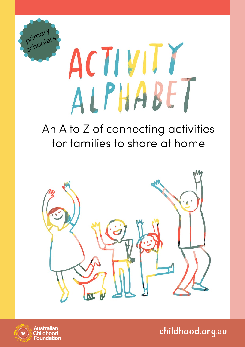

# ACTIVITY<br>ALPHABET

## An A to Z of connecting activities for families to share at home



**childhood.org.au**

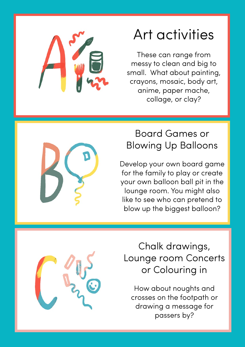

# Art activities

These can range from messy to clean and big to small. What about painting, crayons, mosaic, body art, anime, paper mache, collage, or clay?



#### Board Games or Blowing Up Balloons

Develop your own board game for the family to play or create your own balloon ball pit in the lounge room. You might also like to see who can pretend to blow up the biggest balloon?



Chalk drawings, Lounge room Concerts or Colouring in

How about noughts and crosses on the footpath or drawing a message for passers by?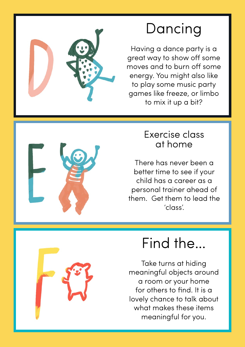

# Dancing

Having a dance party is a great way to show off some moves and to burn off some energy. You might also like to play some music party games like freeze, or limbo to mix it up a bit?



#### Exercise class at home

There has never been a better time to see if your child has a career as a personal trainer ahead of them. Get them to lead the 'class'.



Take turns at hiding meaningful objects around a room or your home for others to find. It is a lovely chance to talk about what makes these items meaningful for you.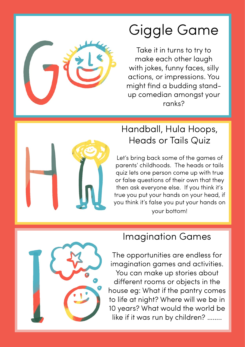

# Giggle Game

Take it in turns to try to make each other laugh with jokes, funny faces, silly actions, or impressions. You might find a budding standup comedian amongst your ranks?



#### Handball, Hula Hoops, Heads or Tails Quiz

Let's bring back some of the games of parents' childhoods. The heads or tails quiz lets one person come up with true or false questions of their own that they then ask everyone else. If you think it's true you put your hands on your head, if you think it's false you put your hands on your bottom!



#### Imagination Games

The opportunities are endless for imagination games and activities. You can make up stories about different rooms or objects in the house eg: What if the pantry comes to life at night? Where will we be in 10 years? What would the world be like if it was run by children? ……..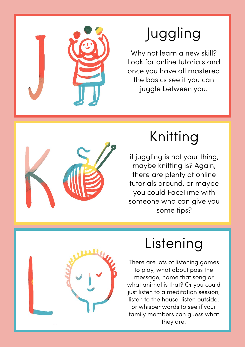

# Juggling

Why not learn a new skill? Look for online tutorials and once you have all mastered the basics see if you can juggle between you.



# Knitting

if juggling is not your thing, maybe knitting is? Again, there are plenty of online tutorials around, or maybe you could FaceTime with someone who can give you some tips?



# Listening

There are lots of listening games to play, what about pass the message, name that song or what animal is that? Or you could just listen to a meditation session, listen to the house, listen outside, or whisper words to see if your family members can guess what they are.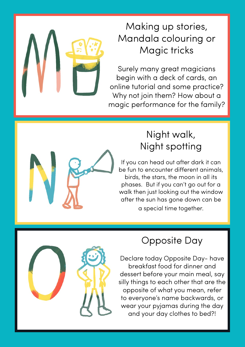

Surely many great magicians begin with a deck of cards, an online tutorial and some practice? Why not join them? How about a magic performance for the family?



#### Night walk, Night spotting

If you can head out after dark it can be fun to encounter different animals, birds, the stars, the moon in all its phases. But if you can't go out for a walk then just looking out the window after the sun has gone down can be a special time together.



#### Opposite Day

Declare today Opposite Day- have breakfast food for dinner and dessert before your main meal, say silly things to each other that are the opposite of what you mean, refer to everyone's name backwards, or wear your pyjamas during the day and your day clothes to bed?!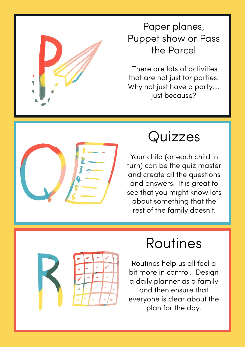

#### Paper planes, Puppet show or Pass the Parcel

 There are lots of activities that are not just for parties. Why not just have a party…. just because?



# Quizzes

Your child (or each child in turn) can be the quiz master and create all the questions and answers. It is great to see that you might know lots about something that the rest of the family doesn't.



# Routines

Routines help us all feel a bit more in control. Design a daily planner as a family and then ensure that everyone is clear about the plan for the day.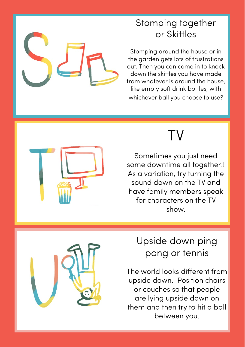#### Stomping together or Skittles

Stomping around the house or in the garden gets lots of frustrations out. Then you can come in to knock down the skittles you have made from whatever is around the house, like empty soft drink bottles, with whichever ball you choose to use?



# TV

Sometimes you just need some downtime all together!! As a variation, try turning the sound down on the TV and have family members speak for characters on the TV show.



#### Upside down ping pong or tennis

The world looks different from upside down. Position chairs or couches so that people are lying upside down on them and then try to hit a ball between you.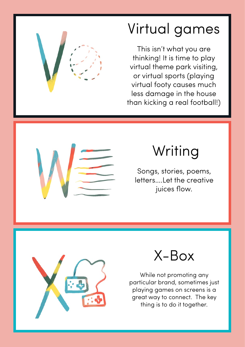

This isn't what you are thinking! It is time to play virtual theme park visiting, or virtual sports (playing virtual footy causes much less damage in the house than kicking a real football!)



# Writing

Songs, stories, poems, letters….Let the creative juices flow.



## X-Box

While not promoting any particular brand, sometimes just playing games on screens is a great way to connect. The key thing is to do it together.